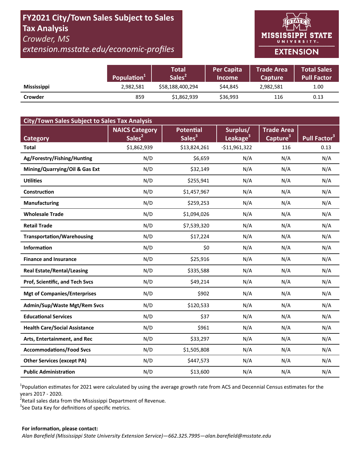# **FY2021 City/Town Sales Subject to Sales Tax Analysis**  *Crowder, MS*

*extension.msstate.edu/economic‐profiles* 



|                    | Population <sup>+</sup> | <b>Total</b><br>Sales <sup>2</sup> | <b>Per Capita</b><br><b>Income</b> | <b>Trade Area</b><br><b>Capture</b> | Total Sales<br><b>Pull Factor</b> |
|--------------------|-------------------------|------------------------------------|------------------------------------|-------------------------------------|-----------------------------------|
| <b>Mississippi</b> | 2,982,581               | \$58,188,400,294                   | \$44,845                           | 2,982,581                           | 1.00                              |
| Crowder            | 859                     | \$1,862,939                        | \$36,993                           | 116                                 | 0.13                              |

| <b>City/Town Sales Subject to Sales Tax Analysis</b> |                       |                    |                      |                      |                          |  |  |  |  |
|------------------------------------------------------|-----------------------|--------------------|----------------------|----------------------|--------------------------|--|--|--|--|
|                                                      | <b>NAICS Category</b> | <b>Potential</b>   | Surplus/             | <b>Trade Area</b>    |                          |  |  |  |  |
| <b>Category</b>                                      | Sales <sup>2</sup>    | Sales <sup>3</sup> | Leakage <sup>3</sup> | Capture <sup>3</sup> | Pull Factor <sup>3</sup> |  |  |  |  |
| <b>Total</b>                                         | \$1,862,939           | \$13,824,261       | $-$11,961,322$       | 116                  | 0.13                     |  |  |  |  |
| Ag/Forestry/Fishing/Hunting                          | N/D                   | \$6,659            | N/A                  | N/A                  | N/A                      |  |  |  |  |
| Mining/Quarrying/Oil & Gas Ext                       | N/D                   | \$32,149           | N/A                  | N/A                  | N/A                      |  |  |  |  |
| <b>Utilities</b>                                     | N/D                   | \$255,941          | N/A                  | N/A                  | N/A                      |  |  |  |  |
| <b>Construction</b>                                  | N/D                   | \$1,457,967        | N/A                  | N/A                  | N/A                      |  |  |  |  |
| <b>Manufacturing</b>                                 | N/D                   | \$259,253          | N/A                  | N/A                  | N/A                      |  |  |  |  |
| <b>Wholesale Trade</b>                               | N/D                   | \$1,094,026        | N/A                  | N/A                  | N/A                      |  |  |  |  |
| <b>Retail Trade</b>                                  | N/D                   | \$7,539,320        | N/A                  | N/A                  | N/A                      |  |  |  |  |
| <b>Transportation/Warehousing</b>                    | N/D                   | \$17,224           | N/A                  | N/A                  | N/A                      |  |  |  |  |
| <b>Information</b>                                   | N/D                   | \$0                | N/A                  | N/A                  | N/A                      |  |  |  |  |
| <b>Finance and Insurance</b>                         | N/D                   | \$25,916           | N/A                  | N/A                  | N/A                      |  |  |  |  |
| <b>Real Estate/Rental/Leasing</b>                    | N/D                   | \$335,588          | N/A                  | N/A                  | N/A                      |  |  |  |  |
| Prof, Scientific, and Tech Svcs                      | N/D                   | \$49,214           | N/A                  | N/A                  | N/A                      |  |  |  |  |
| <b>Mgt of Companies/Enterprises</b>                  | N/D                   | \$902              | N/A                  | N/A                  | N/A                      |  |  |  |  |
| Admin/Sup/Waste Mgt/Rem Svcs                         | N/D                   | \$120,533          | N/A                  | N/A                  | N/A                      |  |  |  |  |
| <b>Educational Services</b>                          | N/D                   | \$37               | N/A                  | N/A                  | N/A                      |  |  |  |  |
| <b>Health Care/Social Assistance</b>                 | N/D                   | \$961              | N/A                  | N/A                  | N/A                      |  |  |  |  |
| Arts, Entertainment, and Rec                         | N/D                   | \$33,297           | N/A                  | N/A                  | N/A                      |  |  |  |  |
| <b>Accommodations/Food Svcs</b>                      | N/D                   | \$1,505,808        | N/A                  | N/A                  | N/A                      |  |  |  |  |
| <b>Other Services (except PA)</b>                    | N/D                   | \$447,573          | N/A                  | N/A                  | N/A                      |  |  |  |  |
| <b>Public Administration</b>                         | N/D                   | \$13,600           | N/A                  | N/A                  | N/A                      |  |  |  |  |

<sup>1</sup>Population estimates for 2021 were calculated by using the average growth rate from ACS and Decennial Census estimates for the years 2017 ‐ 2020.

2 Retail sales data from the Mississippi Department of Revenue*.* 

 $3$ See Data Key for definitions of specific metrics.

#### **For informaƟon, please contact:**  *Alan Barefield (Mississippi State University Extension Service)—662.325.7995—alan.barefield@msstate.edu*